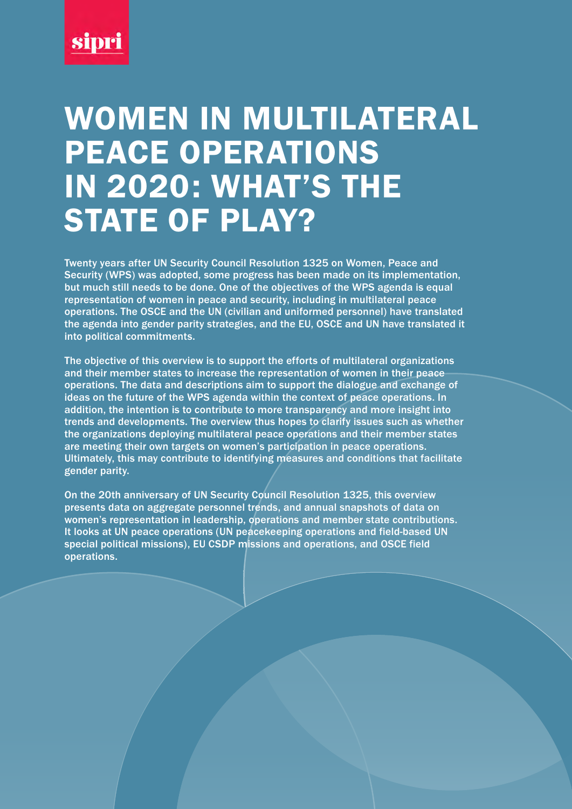

# WOMEN IN MULTILATERAL PEACE OPERATIONS IN 2020: WHAT'S THE STATE OF PLAY?

Twenty years after UN Security Council Resolution 1325 on Women, Peace and Security (WPS) was adopted, some progress has been made on its implementation, but much still needs to be done. One of the objectives of the WPS agenda is equal representation of women in peace and security, including in multilateral peace operations. The OSCE and the UN (civilian and uniformed personnel) have translated the agenda into gender parity strategies, and the EU, OSCE and UN have translated it into political commitments.

The objective of this overview is to support the efforts of multilateral organizations and their member states to increase the representation of women in their peace operations. The data and descriptions aim to support the dialogue and exchange of ideas on the future of the WPS agenda within the context of peace operations. In addition, the intention is to contribute to more transparency and more insight into trends and developments. The overview thus hopes to clarify issues such as whether the organizations deploying multilateral peace operations and their member states are meeting their own targets on women's participation in peace operations. Ultimately, this may contribute to identifying measures and conditions that facilitate gender parity.

On the 20th anniversary of UN Security Council Resolution 1325, this overview presents data on aggregate personnel trends, and annual snapshots of data on women's representation in leadership, operations and member state contributions. It looks at UN peace operations (UN peacekeeping operations and field-based UN special political missions), EU CSDP missions and operations, and OSCE field operations.

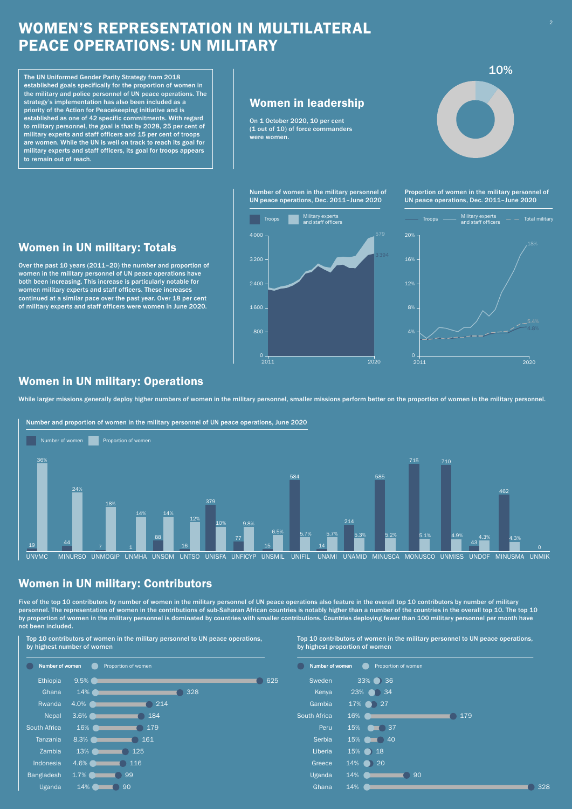## WOMEN'S REPRESENTATION IN MULTILATERAL PEACE OPERATIONS: UN MILITARY

Top 10 contributors of women in the military personnel to UN peace operations, by highest number of women



Top 10 contributors of women in the military personnel to UN peace operations, by highest proportion of women

|              | Number of women | Proportion of women |    |     |  |
|--------------|-----------------|---------------------|----|-----|--|
| Sweden       | 33%             | 36                  |    |     |  |
| Kenya        | 23%             | 34                  |    |     |  |
| Gambia       | 17%             | 27                  |    |     |  |
| South Africa | 16%             |                     |    | 179 |  |
| Peru         | 15%             | 37                  |    |     |  |
| Serbia       | 15%             | 40                  |    |     |  |
| Liberia      | 15%             | 18                  |    |     |  |
| Greece       | 14%             | 20                  |    |     |  |
| Uganda       | 14%             |                     | 90 |     |  |
| Ghana        | 14%             |                     |    |     |  |

 $\Box$  328

Five of the top 10 contributors by number of women in the military personnel of UN peace operations also feature in the overall top 10 contributors by number of military personaled the Saharan African countries is notably higher than a number of the countries in the overall top 10. The top 10. The top 10. The top 10. The top 10. The top 10. The top 10. The top 10. The top 10. The top 10. T by proportion of women in the military personnel is dominated by countries with smaller contributions. Countries deploying fewer than 100 military personnel per month have not been included.

## Women in UN military: Contributors

While larger missions generally deploy higher numbers of women in the military personnel, smaller missions perform better on the proportion of women in the military personnel.

 $0 +$ <br>2011

## Women in UN military: Operations

Number and proportion of women in the military personnel of UN peace operations, June 2020



10%

On 1 October 2020, 10 per cent (1 out of 10) of force commanders were women.

## Women in leadership

The UN Uniformed Gender Parity Strategy from 2018 established goals specifically for the proportion of women in the military and police personnel of UN peace operations. The strategy's implementation has also been included as a priority of the Action for Peacekeeping initiative and is established as one of 42 specific commitments. With regard to military personnel, the goal is that by 2028, 25 per cent of military experts and staff officers and 15 per cent of troops are women. While the UN is well on track to reach its goal for military experts and staff officers, its goal for troops appears to remain out of reach.

> Number of women in the military personnel of UN peace operations, Dec. 2011–June 2020

> > Troops **Contains Military experts**<br>and staff officers

800

1 600

2 400

3 200

4 000



Proportion of women in the military personnel of UN peace operations, Dec. 2011–June 2020

Over the past 10 years (2011–20) the number and proportion of women in the military personnel of UN peace operations have both been increasing. This increase is particularly notable for women military experts and staff officers. These increases continued at a similar pace over the past year. Over 18 per cent of military experts and staff officers were women in June 2020.

## Women in UN military: Totals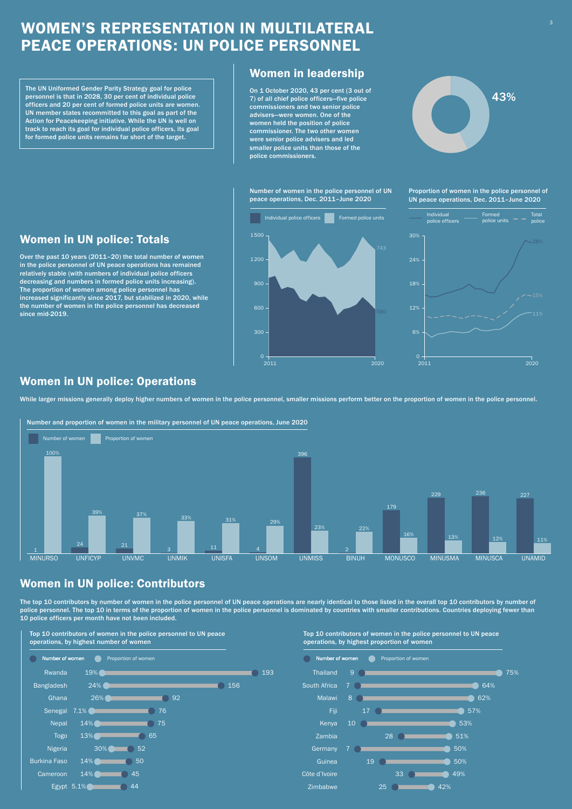## WOMEN'S REPRESENTATION IN MULTILATERAL PEACE OPERATIONS: UN POLICE PERSONNEL

The top 10 contributors by number of women in the police personnel of UN peace operations are nearly identical to those listed in the overall top 10 contributors by number of he proportion of women in the police personnel is dominated by countries with smaller contributions. Countries deploying 10 police officers per month have not been included.

## Women in UN police: Contributors



On 1 October 2020, 43 per cent (3 out of  $\footnotesize{\textbf{7}}$  ) of all chief police officers—five police commissioners and two senior police advisers—were women. One of the women held the position of police commissioner. The two other women were senior police advisers and led smaller police units than those of the police commissioners.

### Top 10 contributors of women in the police personnel to UN peace operations, by highest number of women



#### Top 10 contributors of women in the police personnel to UN peace operations, by highest proportion of women

## Women in leadership

The UN Uniformed Gender Parity Strategy goal for police personnel is that in 2028, 30 per cent of individual police officers and 20 per cent of formed police units are women. UN member states recommitted to this goal as part of the Action for Peacekeeping initiative. While the UN is well on track to reach its goal for individual police officers, its goal for formed police units remains far short of the target.

Over the past 10 years (2011–20) the total number of women in the police personnel of UN peace operations has remained relatively stable (with numbers of individual police officers decreasing and numbers in formed police units increasing). The proportion of women among police personnel has increased significantly since 2017, but stabilized in 2020, while the number of women in the police personnel has decreased since mid-2019.

## Women in UN police: Totals

300

600

900

1 200

1 500

2011 2020

Number of women in the police personnel of UN peace operations, Dec. 2011–June 2020

Individual police officers **Formed police units** 

Proportion of women in the police personnel of UN peace operations, Dec. 2011–June 2020



While larger missions generally deploy higher numbers of women in the police personnel, smaller missions perform better on the proportion of women in the police personnel.

## Women in UN police: Operations



### Number and proportion of women in the military personnel of UN peace operations, June 2020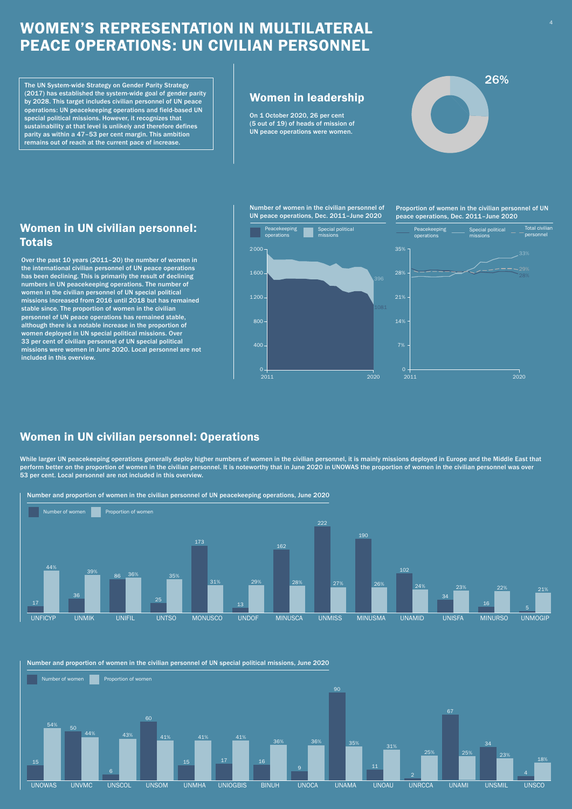## WOMEN'S REPRESENTATION IN MULTILATERAL PEACE OPERATIONS: UN CIVILIAN PERSONNEL



On 1 October 2020, 26 per cent (5 out of 19) of heads of mission of UN peace operations were women.

### Women in leadership

The UN System-wide Strategy on Gender Parity Strategy (2017) has established the system-wide goal of gender parity by 2028. This target includes civilian personnel of UN peace operations: UN peacekeeping operations and field-based UN special political missions. However, it recognizes that sustainability at that level is unlikely and therefore defines parity as within a 47–53 per cent margin. This ambition remains out of reach at the current pace of increase.

Over the past 10 years (2011–20) the number of women in the international civilian personnel of UN peace operations has been declining. This is primarily the result of declining numbers in UN peacekeeping operations. The number of women in the civilian personnel of UN special political missions increased from 2016 until 2018 but has remained stable since. The proportion of women in the civilian personnel of UN peace operations has remained stable, although there is a notable increase in the proportion of women deployed in UN special political missions. Over 33 per cent of civilian personnel of UN special political missions were women in June 2020. Local personnel are not included in this overview.

## Women in UN civilian personnel: Totals

Proportion of women in the civilian personnel of UN peace operations, Dec. 2011–June 2020





While larger UN peacekeeping operations generally deploy higher numbers of women in the civilian personnel, it is mainly missions deployed in Europe and the Middle East that perform better on the proportion of women in the civilian personnel. It is noteworthy that in June 2020 in UNOWAS the proportion of women in the civilian personnel was over 53 per cent. Local personnel are not included in this overview.

## Women in UN civilian personnel: Operations





#### Number and proportion of women in the civilian personnel of UN special political missions, June 2020

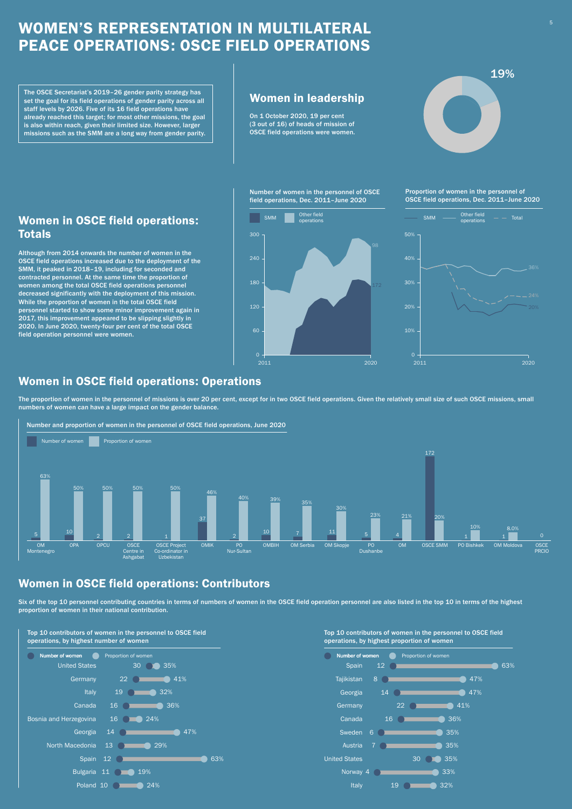## WOMEN'S REPRESENTATION IN MULTILATERAL PEACE OPERATIONS: OSCE FIELD OPERATIONS

Although from 2014 onwards the number of women in the OSCE field operations increased due to the deployment of the SMM, it peaked in 2018–19, including for seconded and contracted personnel. At the same time the proportion of women among the total OSCE field operations personnel decreased significantly with the deployment of this mission. While the proportion of women in the total OSCE field personnel started to show some minor improvement again in 2017, this improvement appeared to be slipping slightly in 2020. In June 2020, twenty-four per cent of the total OSCE field operation personnel were women.

Six of the top 10 personnel contributing countries in terms of numbers of women in the OSCE field operation personnel are also listed in the top 10 in terms of the highest proportion of women in their national contribution.

## Women in OSCE field operations: Totals

Proportion of women in the personnel of OSCE field operations, Dec. 2011–June 2020

Number of women in the personnel of OSCE field operations, Dec. 2011–June 2020

operations

60

120

180

240

300

172

SMM Cher field

2011 2020



The OSCE Secretariat's 2019–26 gender parity strategy has  $\parallel$  Women in leadership<br>set the goal for its field operations of gender parity across all  $\parallel$  Women in leadership set the goal for its field operations of gender parity across all staff levels by 2026. Five of its 16 field operations have already reached this target; for most other missions, the goal is also within reach, given their limited size. However, larger missions such as the SMM are a long way from gender parity.

## Women in OSCE field operations: Contributors



#### Top 10 contributors of women in the personnel to OSCE field operations, by highest number of women



### Top 10 contributors of women in the personnel to OSCE field operations, by highest proportion of women



On 1 October 2020, 19 per cent (3 out of 16) of heads of mission of OSCE field operations were women.

The proportion of women in the personnel of missions is over 20 per cent, except for in two OSCE field operations. Given the relatively small size of such OSCE missions, small numbers of women can have a large impact on the gender balance.

 $\Omega$ 

## Women in OSCE field operations: Operations



### Number and proportion of women in the personnel of OSCE field operations, June 2020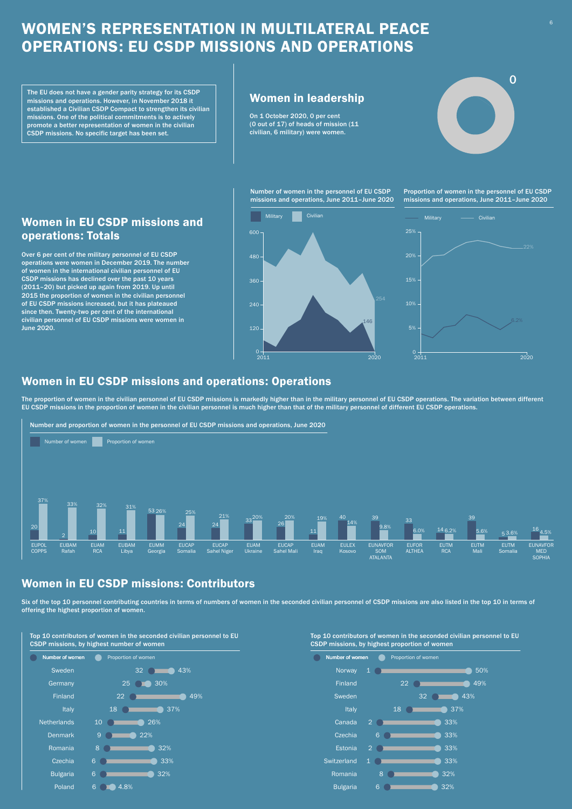## WOMEN'S REPRESENTATION IN MULTILATERAL PEACE OPERATIONS: EU CSDP MISSIONS AND OPERATIONS

Over 6 per cent of the military personnel of EU CSDP operations were women in December 2019. The number of women in the international civilian personnel of EU CSDP missions has declined over the past 10 years (2011–20) but picked up again from 2019. Up until 2015 the proportion of women in the civilian personnel of EU CSDP missions increased, but it has plateaued since then. Twenty-two per cent of the international civilian personnel of EU CSDP missions were women in June 2020.

### Women in EU CSDP missions and operations: Totals

Number of women in the personnel of EU CSDP missions and operations, June 2011–June 2020

The EU does not have a gender parity strategy for its CSDP  $_{\rm{missions}}\parallel\parallel\,$  Women in leadership established a Civilian CSDP Compact to strengthen its civilian missions. One of the political commitments is to actively promote a better representation of women in the civilian CSDP missions. No specific target has been set.

Proportion of women in the personnel of EU CSDP missions and operations, June 2011–June 2020



Six of the top 10 personnel contributing countries in terms of numbers of women in the seconded civilian personnel of CSDP missions are also listed in the top 10 in terms of offering the highest proportion of women.

120

240

360

480

600



On 1 October 2020, 0 per cent (0 out of 17) of heads of mission (11 civilian, 6 military) were women.

## Women in EU CSDP missions: Contributors

Top 10 contributors of women in the seconded civilian personnel to EU CSDP missions, by highest proportion of women



#### Top 10 contributors of women in the seconded civilian personnel to EU CSDP missions, by highest number of women



The proportion of women in the civilian personnel of EU CSDP missions is markedly higher than in the military personnel of EU CSDP operations. The variation between different EU CSDP missions in the proportion of women in the civilian personnel is much higher than that of the military personnel of different EU CSDP operations.

 $0 +$ <br>2011

## Women in EU CSDP missions and operations: Operations

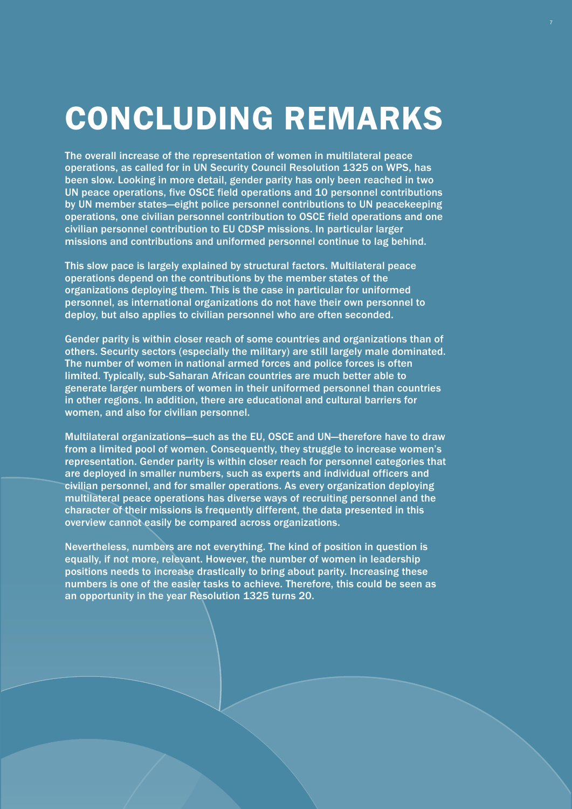# CONCLUDING REMARKS

The overall increase of the representation of women in multilateral peace operations, as called for in UN Security Council Resolution 1325 on WPS, has been slow. Looking in more detail, gender parity has only been reached in two UN peace operations, five OSCE field operations and 10 personnel contributions by UN member states—eight police personnel contributions to UN peacekeeping operations, one civilian personnel contribution to OSCE field operations and one civilian personnel contribution to EU CDSP missions. In particular larger missions and contributions and uniformed personnel continue to lag behind.

This slow pace is largely explained by structural factors. Multilateral peace operations depend on the contributions by the member states of the organizations deploying them. This is the case in particular for uniformed personnel, as international organizations do not have their own personnel to deploy, but also applies to civilian personnel who are often seconded.

Gender parity is within closer reach of some countries and organizations than of others. Security sectors (especially the military) are still largely male dominated. The number of women in national armed forces and police forces is often limited. Typically, sub-Saharan African countries are much better able to generate larger numbers of women in their uniformed personnel than countries in other regions. In addition, there are educational and cultural barriers for women, and also for civilian personnel.

Multilateral organizations—such as the EU, OSCE and UN—therefore have to draw from a limited pool of women. Consequently, they struggle to increase women's representation. Gender parity is within closer reach for personnel categories that are deployed in smaller numbers, such as experts and individual officers and civilian personnel, and for smaller operations. As every organization deploying multilateral peace operations has diverse ways of recruiting personnel and the character of their missions is frequently different, the data presented in this overview cannot easily be compared across organizations.

Nevertheless, numbers are not everything. The kind of position in question is equally, if not more, relevant. However, the number of women in leadership positions needs to increase drastically to bring about parity. Increasing these numbers is one of the easier tasks to achieve. Therefore, this could be seen as an opportunity in the year Resolution 1325 turns 20.